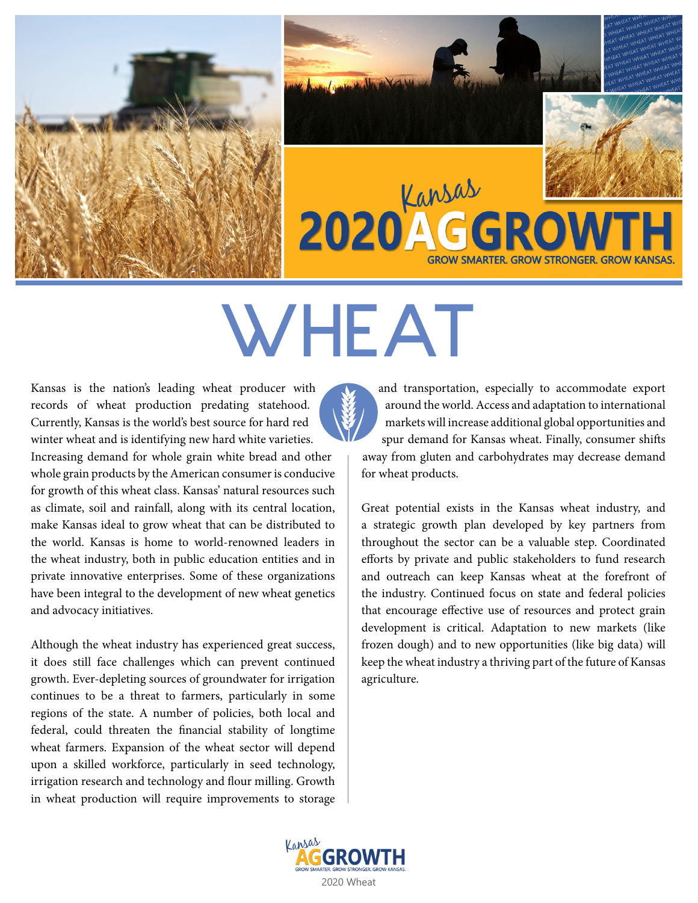



# WHEAT

Kansas is the nation's leading wheat producer with records of wheat production predating statehood. Currently, Kansas is the world's best source for hard red winter wheat and is identifying new hard white varieties. Increasing demand for whole grain white bread and other whole grain products by the American consumer is conducive for growth of this wheat class. Kansas' natural resources such as climate, soil and rainfall, along with its central location, make Kansas ideal to grow wheat that can be distributed to the world. Kansas is home to world-renowned leaders in the wheat industry, both in public education entities and in private innovative enterprises. Some of these organizations have been integral to the development of new wheat genetics and advocacy initiatives.

Although the wheat industry has experienced great success, it does still face challenges which can prevent continued growth. Ever-depleting sources of groundwater for irrigation continues to be a threat to farmers, particularly in some regions of the state. A number of policies, both local and federal, could threaten the financial stability of longtime wheat farmers. Expansion of the wheat sector will depend upon a skilled workforce, particularly in seed technology, irrigation research and technology and flour milling. Growth in wheat production will require improvements to storage



and transportation, especially to accommodate export around the world. Access and adaptation to international markets will increase additional global opportunities and spur demand for Kansas wheat. Finally, consumer shifts away from gluten and carbohydrates may decrease demand for wheat products.

**GROW SMARTER, GROW STRONGER, GROW KANS** 

Great potential exists in the Kansas wheat industry, and a strategic growth plan developed by key partners from throughout the sector can be a valuable step. Coordinated efforts by private and public stakeholders to fund research and outreach can keep Kansas wheat at the forefront of the industry. Continued focus on state and federal policies that encourage effective use of resources and protect grain development is critical. Adaptation to new markets (like frozen dough) and to new opportunities (like big data) will keep the wheat industry a thriving part of the future of Kansas agriculture.

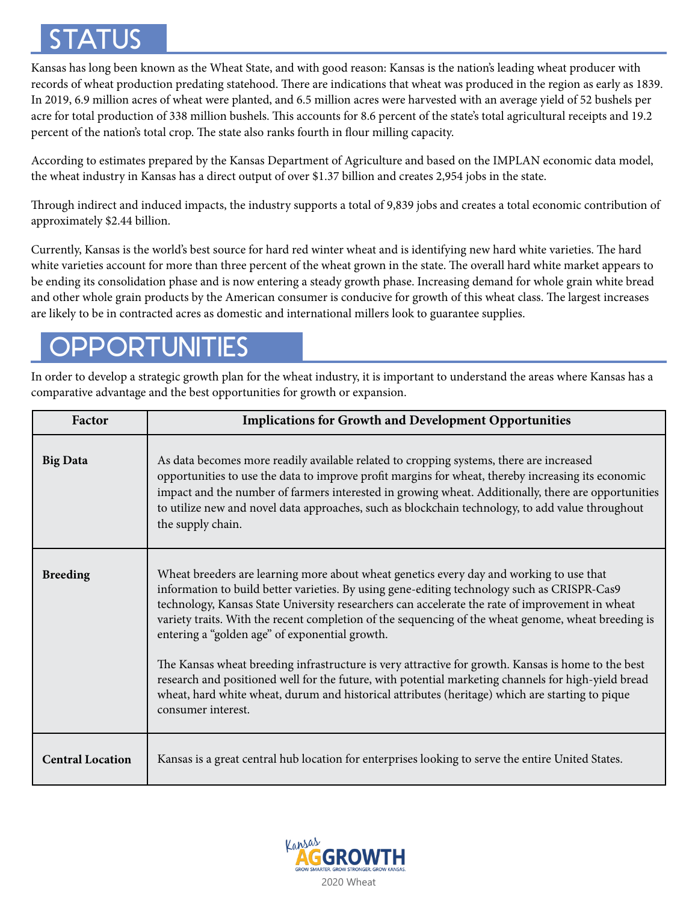# STATUS

Kansas has long been known as the Wheat State, and with good reason: Kansas is the nation's leading wheat producer with records of wheat production predating statehood. There are indications that wheat was produced in the region as early as 1839. In 2019, 6.9 million acres of wheat were planted, and 6.5 million acres were harvested with an average yield of 52 bushels per acre for total production of 338 million bushels. This accounts for 8.6 percent of the state's total agricultural receipts and 19.2 percent of the nation's total crop. The state also ranks fourth in flour milling capacity.

According to estimates prepared by the Kansas Department of Agriculture and based on the IMPLAN economic data model, the wheat industry in Kansas has a direct output of over \$1.37 billion and creates 2,954 jobs in the state.

Through indirect and induced impacts, the industry supports a total of 9,839 jobs and creates a total economic contribution of approximately \$2.44 billion.

Currently, Kansas is the world's best source for hard red winter wheat and is identifying new hard white varieties. The hard white varieties account for more than three percent of the wheat grown in the state. The overall hard white market appears to be ending its consolidation phase and is now entering a steady growth phase. Increasing demand for whole grain white bread and other whole grain products by the American consumer is conducive for growth of this wheat class. The largest increases are likely to be in contracted acres as domestic and international millers look to guarantee supplies.

# PPORTUNITIES

In order to develop a strategic growth plan for the wheat industry, it is important to understand the areas where Kansas has a comparative advantage and the best opportunities for growth or expansion.

| Factor                  | <b>Implications for Growth and Development Opportunities</b>                                                                                                                                                                                                                                                                                                                                                                                                                                                                                                                                                                                                    |
|-------------------------|-----------------------------------------------------------------------------------------------------------------------------------------------------------------------------------------------------------------------------------------------------------------------------------------------------------------------------------------------------------------------------------------------------------------------------------------------------------------------------------------------------------------------------------------------------------------------------------------------------------------------------------------------------------------|
| <b>Big Data</b>         | As data becomes more readily available related to cropping systems, there are increased<br>opportunities to use the data to improve profit margins for wheat, thereby increasing its economic<br>impact and the number of farmers interested in growing wheat. Additionally, there are opportunities<br>to utilize new and novel data approaches, such as blockchain technology, to add value throughout<br>the supply chain.                                                                                                                                                                                                                                   |
| <b>Breeding</b>         | Wheat breeders are learning more about wheat genetics every day and working to use that<br>information to build better varieties. By using gene-editing technology such as CRISPR-Cas9<br>technology, Kansas State University researchers can accelerate the rate of improvement in wheat<br>variety traits. With the recent completion of the sequencing of the wheat genome, wheat breeding is<br>entering a "golden age" of exponential growth.<br>The Kansas wheat breeding infrastructure is very attractive for growth. Kansas is home to the best<br>research and positioned well for the future, with potential marketing channels for high-yield bread |
|                         | wheat, hard white wheat, durum and historical attributes (heritage) which are starting to pique<br>consumer interest.                                                                                                                                                                                                                                                                                                                                                                                                                                                                                                                                           |
| <b>Central Location</b> | Kansas is a great central hub location for enterprises looking to serve the entire United States.                                                                                                                                                                                                                                                                                                                                                                                                                                                                                                                                                               |

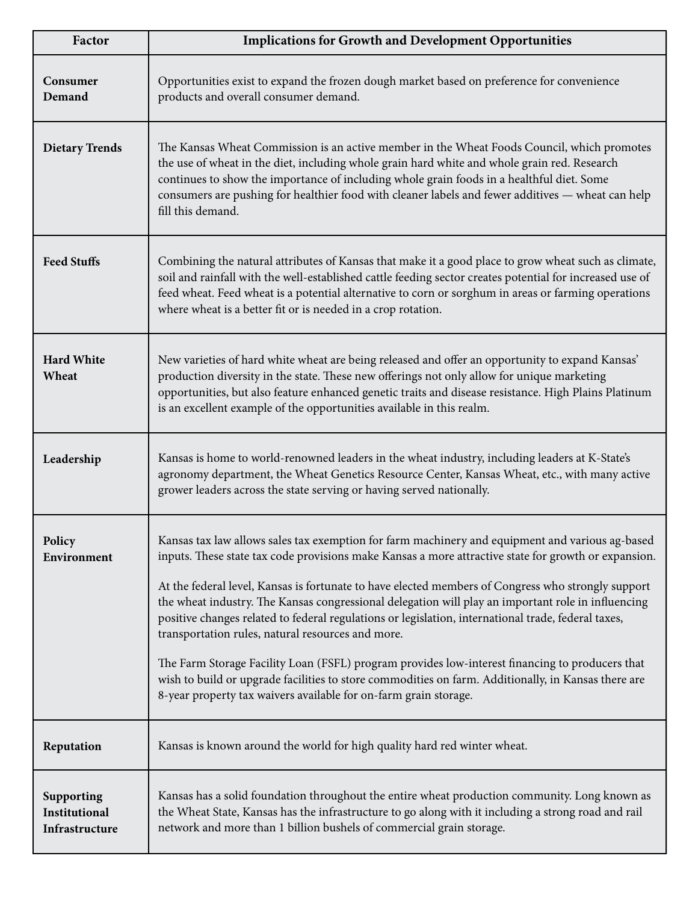| Factor                                        | <b>Implications for Growth and Development Opportunities</b>                                                                                                                                                                                                                                                                                                                                                                                                                                                                                                                                                                                                                                                                                                                                                                                                  |
|-----------------------------------------------|---------------------------------------------------------------------------------------------------------------------------------------------------------------------------------------------------------------------------------------------------------------------------------------------------------------------------------------------------------------------------------------------------------------------------------------------------------------------------------------------------------------------------------------------------------------------------------------------------------------------------------------------------------------------------------------------------------------------------------------------------------------------------------------------------------------------------------------------------------------|
| Consumer<br>Demand                            | Opportunities exist to expand the frozen dough market based on preference for convenience<br>products and overall consumer demand.                                                                                                                                                                                                                                                                                                                                                                                                                                                                                                                                                                                                                                                                                                                            |
| <b>Dietary Trends</b>                         | The Kansas Wheat Commission is an active member in the Wheat Foods Council, which promotes<br>the use of wheat in the diet, including whole grain hard white and whole grain red. Research<br>continues to show the importance of including whole grain foods in a healthful diet. Some<br>consumers are pushing for healthier food with cleaner labels and fewer additives - wheat can help<br>fill this demand.                                                                                                                                                                                                                                                                                                                                                                                                                                             |
| <b>Feed Stuffs</b>                            | Combining the natural attributes of Kansas that make it a good place to grow wheat such as climate,<br>soil and rainfall with the well-established cattle feeding sector creates potential for increased use of<br>feed wheat. Feed wheat is a potential alternative to corn or sorghum in areas or farming operations<br>where wheat is a better fit or is needed in a crop rotation.                                                                                                                                                                                                                                                                                                                                                                                                                                                                        |
| <b>Hard White</b><br>Wheat                    | New varieties of hard white wheat are being released and offer an opportunity to expand Kansas'<br>production diversity in the state. These new offerings not only allow for unique marketing<br>opportunities, but also feature enhanced genetic traits and disease resistance. High Plains Platinum<br>is an excellent example of the opportunities available in this realm.                                                                                                                                                                                                                                                                                                                                                                                                                                                                                |
| Leadership                                    | Kansas is home to world-renowned leaders in the wheat industry, including leaders at K-State's<br>agronomy department, the Wheat Genetics Resource Center, Kansas Wheat, etc., with many active<br>grower leaders across the state serving or having served nationally.                                                                                                                                                                                                                                                                                                                                                                                                                                                                                                                                                                                       |
| Policy<br>Environment                         | Kansas tax law allows sales tax exemption for farm machinery and equipment and various ag-based<br>inputs. These state tax code provisions make Kansas a more attractive state for growth or expansion.<br>At the federal level, Kansas is fortunate to have elected members of Congress who strongly support<br>the wheat industry. The Kansas congressional delegation will play an important role in influencing<br>positive changes related to federal regulations or legislation, international trade, federal taxes,<br>transportation rules, natural resources and more.<br>The Farm Storage Facility Loan (FSFL) program provides low-interest financing to producers that<br>wish to build or upgrade facilities to store commodities on farm. Additionally, in Kansas there are<br>8-year property tax waivers available for on-farm grain storage. |
| Reputation                                    | Kansas is known around the world for high quality hard red winter wheat.                                                                                                                                                                                                                                                                                                                                                                                                                                                                                                                                                                                                                                                                                                                                                                                      |
| Supporting<br>Institutional<br>Infrastructure | Kansas has a solid foundation throughout the entire wheat production community. Long known as<br>the Wheat State, Kansas has the infrastructure to go along with it including a strong road and rail<br>network and more than 1 billion bushels of commercial grain storage.                                                                                                                                                                                                                                                                                                                                                                                                                                                                                                                                                                                  |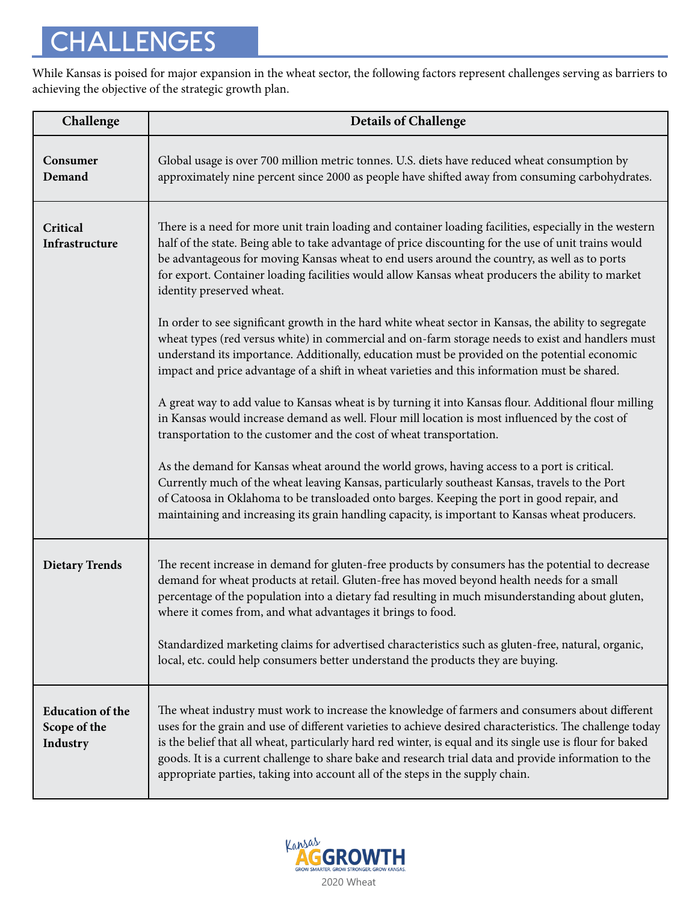# CHALLENGES

While Kansas is poised for major expansion in the wheat sector, the following factors represent challenges serving as barriers to achieving the objective of the strategic growth plan.

| Challenge                                           | <b>Details of Challenge</b>                                                                                                                                                                                                                                                                                                                                                                                                                                                                                                                                                                                                                                      |
|-----------------------------------------------------|------------------------------------------------------------------------------------------------------------------------------------------------------------------------------------------------------------------------------------------------------------------------------------------------------------------------------------------------------------------------------------------------------------------------------------------------------------------------------------------------------------------------------------------------------------------------------------------------------------------------------------------------------------------|
| Consumer<br>Demand                                  | Global usage is over 700 million metric tonnes. U.S. diets have reduced wheat consumption by<br>approximately nine percent since 2000 as people have shifted away from consuming carbohydrates.                                                                                                                                                                                                                                                                                                                                                                                                                                                                  |
| Critical<br>Infrastructure                          | There is a need for more unit train loading and container loading facilities, especially in the western<br>half of the state. Being able to take advantage of price discounting for the use of unit trains would<br>be advantageous for moving Kansas wheat to end users around the country, as well as to ports<br>for export. Container loading facilities would allow Kansas wheat producers the ability to market<br>identity preserved wheat.<br>In order to see significant growth in the hard white wheat sector in Kansas, the ability to segregate<br>wheat types (red versus white) in commercial and on-farm storage needs to exist and handlers must |
|                                                     | understand its importance. Additionally, education must be provided on the potential economic<br>impact and price advantage of a shift in wheat varieties and this information must be shared.<br>A great way to add value to Kansas wheat is by turning it into Kansas flour. Additional flour milling<br>in Kansas would increase demand as well. Flour mill location is most influenced by the cost of<br>transportation to the customer and the cost of wheat transportation.                                                                                                                                                                                |
|                                                     | As the demand for Kansas wheat around the world grows, having access to a port is critical.<br>Currently much of the wheat leaving Kansas, particularly southeast Kansas, travels to the Port<br>of Catoosa in Oklahoma to be transloaded onto barges. Keeping the port in good repair, and<br>maintaining and increasing its grain handling capacity, is important to Kansas wheat producers.                                                                                                                                                                                                                                                                   |
| <b>Dietary Trends</b>                               | The recent increase in demand for gluten-free products by consumers has the potential to decrease<br>demand for wheat products at retail. Gluten-free has moved beyond health needs for a small<br>percentage of the population into a dietary fad resulting in much misunderstanding about gluten,<br>where it comes from, and what advantages it brings to food.                                                                                                                                                                                                                                                                                               |
|                                                     | Standardized marketing claims for advertised characteristics such as gluten-free, natural, organic,<br>local, etc. could help consumers better understand the products they are buying.                                                                                                                                                                                                                                                                                                                                                                                                                                                                          |
| <b>Education of the</b><br>Scope of the<br>Industry | The wheat industry must work to increase the knowledge of farmers and consumers about different<br>uses for the grain and use of different varieties to achieve desired characteristics. The challenge today<br>is the belief that all wheat, particularly hard red winter, is equal and its single use is flour for baked<br>goods. It is a current challenge to share bake and research trial data and provide information to the<br>appropriate parties, taking into account all of the steps in the supply chain.                                                                                                                                            |

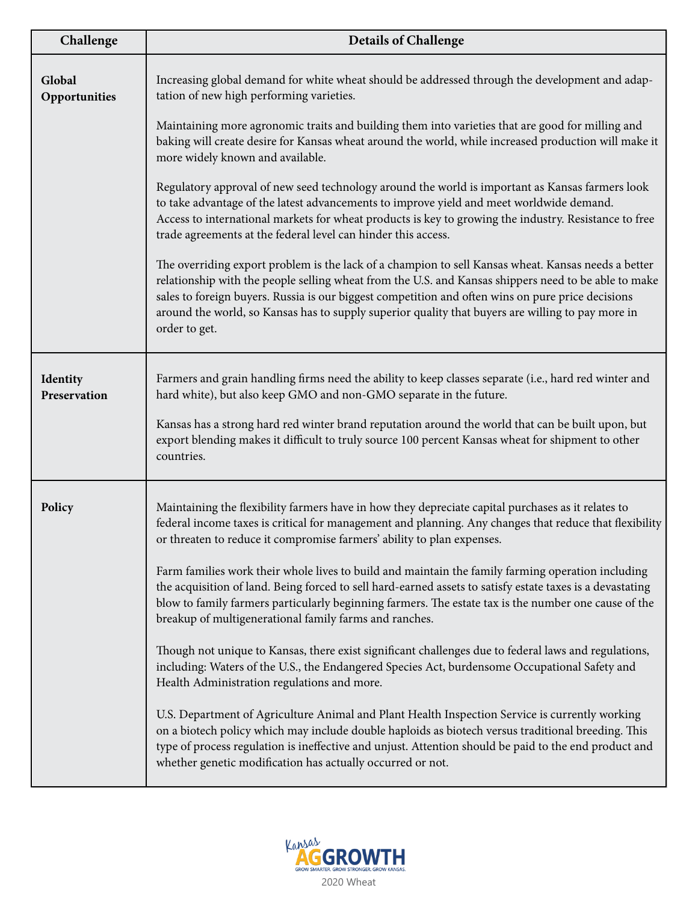| Challenge                | <b>Details of Challenge</b>                                                                                                                                                                                                                                                                                                                                                                                                            |
|--------------------------|----------------------------------------------------------------------------------------------------------------------------------------------------------------------------------------------------------------------------------------------------------------------------------------------------------------------------------------------------------------------------------------------------------------------------------------|
| Global<br>Opportunities  | Increasing global demand for white wheat should be addressed through the development and adap-<br>tation of new high performing varieties.                                                                                                                                                                                                                                                                                             |
|                          | Maintaining more agronomic traits and building them into varieties that are good for milling and<br>baking will create desire for Kansas wheat around the world, while increased production will make it<br>more widely known and available.                                                                                                                                                                                           |
|                          | Regulatory approval of new seed technology around the world is important as Kansas farmers look<br>to take advantage of the latest advancements to improve yield and meet worldwide demand.<br>Access to international markets for wheat products is key to growing the industry. Resistance to free<br>trade agreements at the federal level can hinder this access.                                                                  |
|                          | The overriding export problem is the lack of a champion to sell Kansas wheat. Kansas needs a better<br>relationship with the people selling wheat from the U.S. and Kansas shippers need to be able to make<br>sales to foreign buyers. Russia is our biggest competition and often wins on pure price decisions<br>around the world, so Kansas has to supply superior quality that buyers are willing to pay more in<br>order to get. |
| Identity<br>Preservation | Farmers and grain handling firms need the ability to keep classes separate (i.e., hard red winter and<br>hard white), but also keep GMO and non-GMO separate in the future.                                                                                                                                                                                                                                                            |
|                          | Kansas has a strong hard red winter brand reputation around the world that can be built upon, but<br>export blending makes it difficult to truly source 100 percent Kansas wheat for shipment to other<br>countries.                                                                                                                                                                                                                   |
| Policy                   | Maintaining the flexibility farmers have in how they depreciate capital purchases as it relates to<br>federal income taxes is critical for management and planning. Any changes that reduce that flexibility<br>or threaten to reduce it compromise farmers' ability to plan expenses.                                                                                                                                                 |
|                          | Farm families work their whole lives to build and maintain the family farming operation including<br>the acquisition of land. Being forced to sell hard-earned assets to satisfy estate taxes is a devastating<br>blow to family farmers particularly beginning farmers. The estate tax is the number one cause of the<br>breakup of multigenerational family farms and ranches.                                                       |
|                          | Though not unique to Kansas, there exist significant challenges due to federal laws and regulations,<br>including: Waters of the U.S., the Endangered Species Act, burdensome Occupational Safety and<br>Health Administration regulations and more.                                                                                                                                                                                   |
|                          | U.S. Department of Agriculture Animal and Plant Health Inspection Service is currently working<br>on a biotech policy which may include double haploids as biotech versus traditional breeding. This<br>type of process regulation is ineffective and unjust. Attention should be paid to the end product and<br>whether genetic modification has actually occurred or not.                                                            |

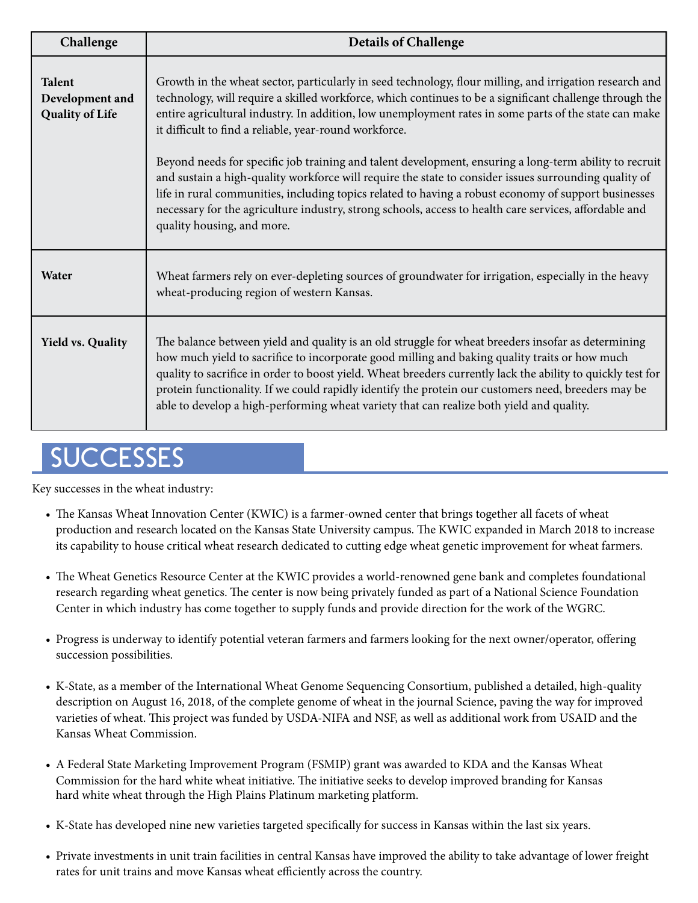| Challenge                                                  | <b>Details of Challenge</b>                                                                                                                                                                                                                                                                                                                                                                                                                                                                                           |
|------------------------------------------------------------|-----------------------------------------------------------------------------------------------------------------------------------------------------------------------------------------------------------------------------------------------------------------------------------------------------------------------------------------------------------------------------------------------------------------------------------------------------------------------------------------------------------------------|
| <b>Talent</b><br>Development and<br><b>Quality of Life</b> | Growth in the wheat sector, particularly in seed technology, flour milling, and irrigation research and<br>technology, will require a skilled workforce, which continues to be a significant challenge through the<br>entire agricultural industry. In addition, low unemployment rates in some parts of the state can make<br>it difficult to find a reliable, year-round workforce.                                                                                                                                 |
|                                                            | Beyond needs for specific job training and talent development, ensuring a long-term ability to recruit<br>and sustain a high-quality workforce will require the state to consider issues surrounding quality of<br>life in rural communities, including topics related to having a robust economy of support businesses<br>necessary for the agriculture industry, strong schools, access to health care services, affordable and<br>quality housing, and more.                                                       |
| Water                                                      | Wheat farmers rely on ever-depleting sources of groundwater for irrigation, especially in the heavy<br>wheat-producing region of western Kansas.                                                                                                                                                                                                                                                                                                                                                                      |
| <b>Yield vs. Quality</b>                                   | The balance between yield and quality is an old struggle for wheat breeders insofar as determining<br>how much yield to sacrifice to incorporate good milling and baking quality traits or how much<br>quality to sacrifice in order to boost yield. Wheat breeders currently lack the ability to quickly test for<br>protein functionality. If we could rapidly identify the protein our customers need, breeders may be<br>able to develop a high-performing wheat variety that can realize both yield and quality. |

# **SUCCESSES**

Key successes in the wheat industry:

- The Kansas Wheat Innovation Center (KWIC) is a farmer-owned center that brings together all facets of wheat production and research located on the Kansas State University campus. The KWIC expanded in March 2018 to increase its capability to house critical wheat research dedicated to cutting edge wheat genetic improvement for wheat farmers.
- The Wheat Genetics Resource Center at the KWIC provides a world-renowned gene bank and completes foundational research regarding wheat genetics. The center is now being privately funded as part of a National Science Foundation Center in which industry has come together to supply funds and provide direction for the work of the WGRC.
- Progress is underway to identify potential veteran farmers and farmers looking for the next owner/operator, offering succession possibilities.
- K-State, as a member of the International Wheat Genome Sequencing Consortium, published a detailed, high-quality description on August 16, 2018, of the complete genome of wheat in the journal Science, paving the way for improved varieties of wheat. This project was funded by USDA-NIFA and NSF, as well as additional work from USAID and the Kansas Wheat Commission.
- A Federal State Marketing Improvement Program (FSMIP) grant was awarded to KDA and the Kansas Wheat Commission for the hard white wheat initiative. The initiative seeks to develop improved branding for Kansas hard white wheat through the High Plains Platinum marketing platform.
- K-State has developed nine new varieties targeted specifically for success in Kansas within the last six years.
- Private investments in unit train facilities in central Kansas have improved the ability to take advantage of lower freight rates for unit trains and move Kansas wheat efficiently across the country.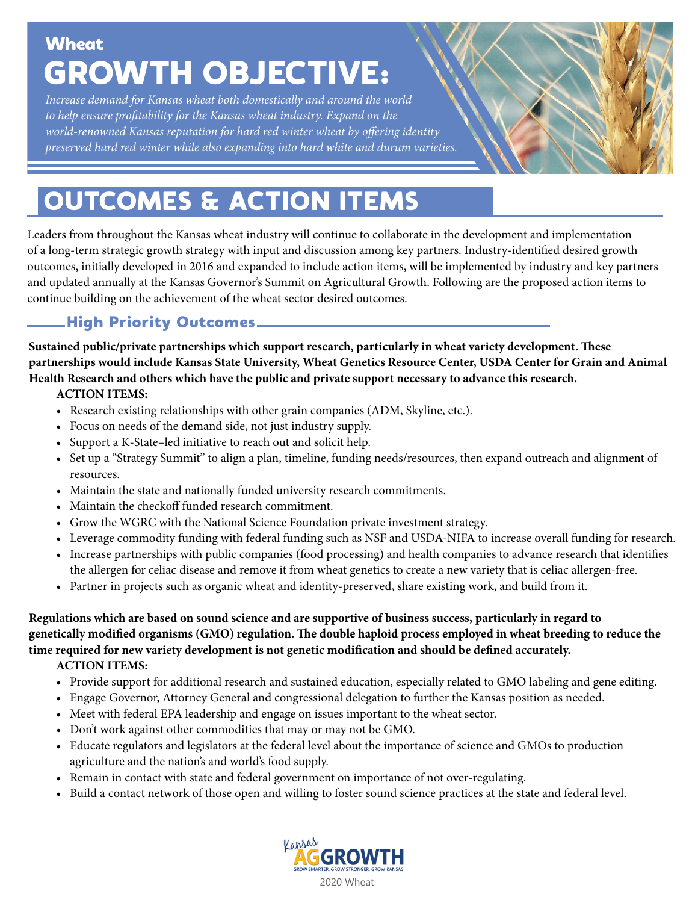# **Wheat** GROWTH OBJECTIVE:

*Increase demand for Kansas wheat both domestically and around the world to help ensure profitability for the Kansas wheat industry. Expand on the world-renowned Kansas reputation for hard red winter wheat by offering identity preserved hard red winter while also expanding into hard white and durum varieties.*

# OUTCOMES & ACTION ITEMS

 continue building on the achievement of the wheat sector desired outcomes. Leaders from throughout the Kansas wheat industry will continue to collaborate in the development and implementation of a long-term strategic growth strategy with input and discussion among key partners. Industry-identified desired growth outcomes, initially developed in 2016 and expanded to include action items, will be implemented by industry and key partners and updated annually at the Kansas Governor's Summit on Agricultural Growth. Following are the proposed action items to

# High Priority Outcomes

**Sustained public/private partnerships which support research, particularly in wheat variety development. These partnerships would include Kansas State University, Wheat Genetics Resource Center, USDA Center for Grain and Animal Health Research and others which have the public and private support necessary to advance this research.**

# **ACTION ITEMS:**

- Research existing relationships with other grain companies (ADM, Skyline, etc.).
- Focus on needs of the demand side, not just industry supply.
- Support a K-State–led initiative to reach out and solicit help.
- Set up a "Strategy Summit" to align a plan, timeline, funding needs/resources, then expand outreach and alignment of resources.
- Maintain the state and nationally funded university research commitments.
- Maintain the checkoff funded research commitment.
- Grow the WGRC with the National Science Foundation private investment strategy.
- Leverage commodity funding with federal funding such as NSF and USDA-NIFA to increase overall funding for research.
- Increase partnerships with public companies (food processing) and health companies to advance research that identifies the allergen for celiac disease and remove it from wheat genetics to create a new variety that is celiac allergen-free.
- Partner in projects such as organic wheat and identity-preserved, share existing work, and build from it.

**Regulations which are based on sound science and are supportive of business success, particularly in regard to genetically modified organisms (GMO) regulation. The double haploid process employed in wheat breeding to reduce the time required for new variety development is not genetic modification and should be defined accurately.**

**ACTION ITEMS:**

- Provide support for additional research and sustained education, especially related to GMO labeling and gene editing.
- Engage Governor, Attorney General and congressional delegation to further the Kansas position as needed.
- Meet with federal EPA leadership and engage on issues important to the wheat sector.
- Don't work against other commodities that may or may not be GMO.
- Educate regulators and legislators at the federal level about the importance of science and GMOs to production agriculture and the nation's and world's food supply.
- Remain in contact with state and federal government on importance of not over-regulating.
- Build a contact network of those open and willing to foster sound science practices at the state and federal level.

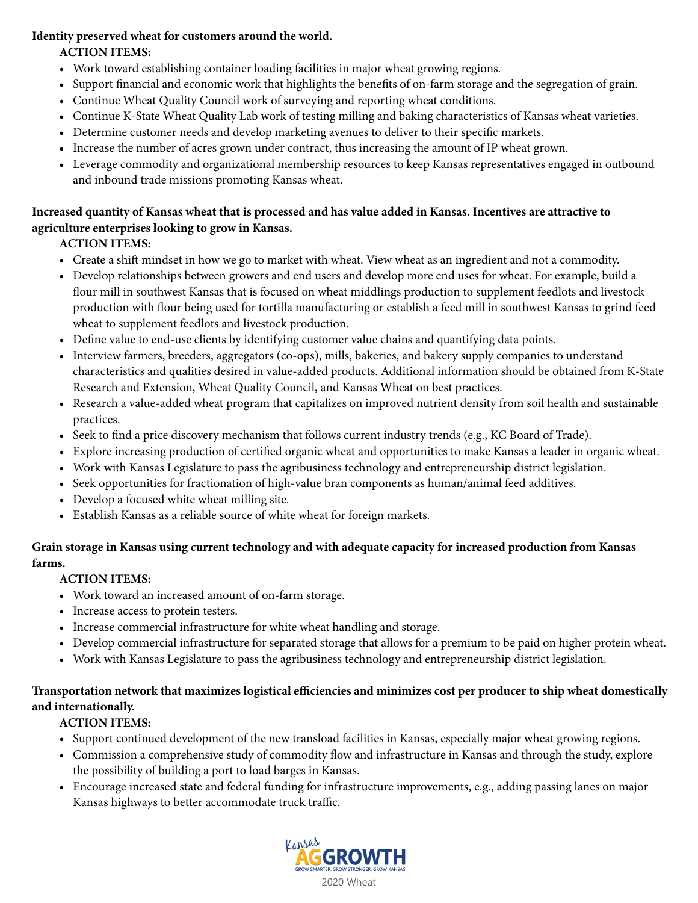#### **Identity preserved wheat for customers around the world.**

## **ACTION ITEMS:**

- Work toward establishing container loading facilities in major wheat growing regions.
- Support financial and economic work that highlights the benefits of on-farm storage and the segregation of grain.
- Continue Wheat Quality Council work of surveying and reporting wheat conditions.
- Continue K-State Wheat Quality Lab work of testing milling and baking characteristics of Kansas wheat varieties.
- Determine customer needs and develop marketing avenues to deliver to their specific markets.
- Increase the number of acres grown under contract, thus increasing the amount of IP wheat grown.
- Leverage commodity and organizational membership resources to keep Kansas representatives engaged in outbound and inbound trade missions promoting Kansas wheat.

## **Increased quantity of Kansas wheat that is processed and has value added in Kansas. Incentives are attractive to agriculture enterprises looking to grow in Kansas.**

# **ACTION ITEMS:**

- Create a shift mindset in how we go to market with wheat. View wheat as an ingredient and not a commodity.
- Develop relationships between growers and end users and develop more end uses for wheat. For example, build a flour mill in southwest Kansas that is focused on wheat middlings production to supplement feedlots and livestock production with flour being used for tortilla manufacturing or establish a feed mill in southwest Kansas to grind feed wheat to supplement feedlots and livestock production.
- Define value to end-use clients by identifying customer value chains and quantifying data points.
- Interview farmers, breeders, aggregators (co-ops), mills, bakeries, and bakery supply companies to understand characteristics and qualities desired in value-added products. Additional information should be obtained from K-State Research and Extension, Wheat Quality Council, and Kansas Wheat on best practices.
- Research a value-added wheat program that capitalizes on improved nutrient density from soil health and sustainable practices.
- Seek to find a price discovery mechanism that follows current industry trends (e.g., KC Board of Trade).
- Explore increasing production of certified organic wheat and opportunities to make Kansas a leader in organic wheat.
- Work with Kansas Legislature to pass the agribusiness technology and entrepreneurship district legislation.
- Seek opportunities for fractionation of high-value bran components as human/animal feed additives.
- Develop a focused white wheat milling site.
- Establish Kansas as a reliable source of white wheat for foreign markets.

## **Grain storage in Kansas using current technology and with adequate capacity for increased production from Kansas farms.**

# **ACTION ITEMS:**

- Work toward an increased amount of on-farm storage.
- Increase access to protein testers.
- Increase commercial infrastructure for white wheat handling and storage.
- Develop commercial infrastructure for separated storage that allows for a premium to be paid on higher protein wheat.
- Work with Kansas Legislature to pass the agribusiness technology and entrepreneurship district legislation.

## **Transportation network that maximizes logistical efficiencies and minimizes cost per producer to ship wheat domestically and internationally.**

# **ACTION ITEMS:**

- **•** Support continued development of the new transload facilities in Kansas, especially major wheat growing regions.
- Commission a comprehensive study of commodity flow and infrastructure in Kansas and through the study, explore the possibility of building a port to load barges in Kansas.
- Encourage increased state and federal funding for infrastructure improvements, e.g., adding passing lanes on major Kansas highways to better accommodate truck traffic.